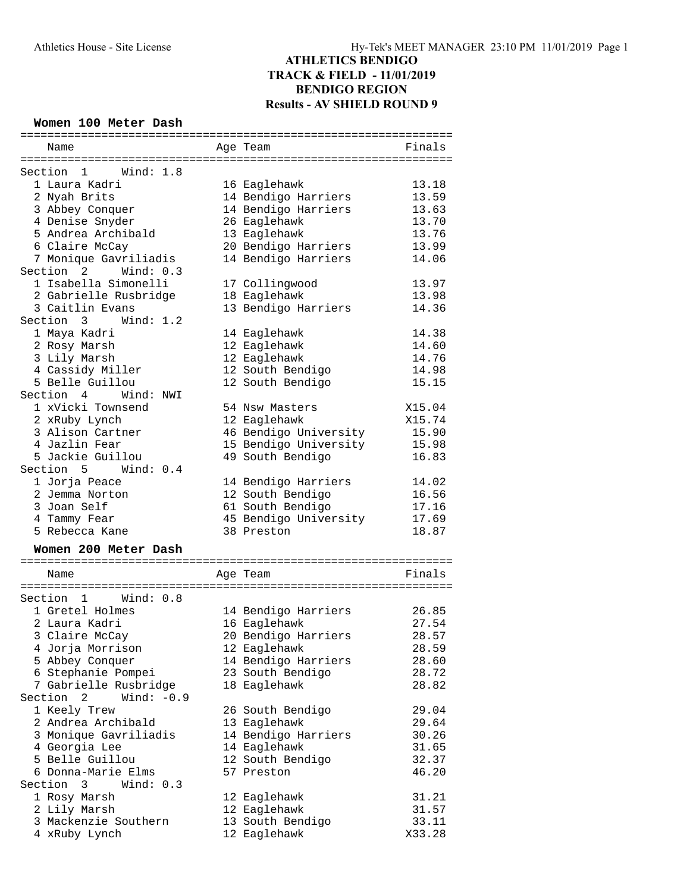#### **Women 100 Meter Dash**

| Name                      | Age Team              | Finals |
|---------------------------|-----------------------|--------|
|                           |                       |        |
| Section 1<br>Wind: $1.8$  |                       |        |
| 1 Laura Kadri             | 16 Eaglehawk          | 13.18  |
| 2 Nyah Brits              | 14 Bendigo Harriers   | 13.59  |
| 3 Abbey Conquer           | 14 Bendigo Harriers   | 13.63  |
| 4 Denise Snyder           | 26 Eaglehawk          | 13.70  |
| 5 Andrea Archibald        | 13 Eaglehawk          | 13.76  |
| 6 Claire McCay            | 20 Bendigo Harriers   | 13.99  |
| 7 Monique Gavriliadis     | 14 Bendigo Harriers   | 14.06  |
| Section 2 Wind: 0.3       |                       |        |
| 1 Isabella Simonelli      | 17 Collingwood        | 13.97  |
| 2 Gabrielle Rusbridge     | 18 Eaglehawk          | 13.98  |
| 3 Caitlin Evans           | 13 Bendigo Harriers   | 14.36  |
| Section 3<br>Wind: 1.2    |                       |        |
| 1 Maya Kadri              | 14 Eaglehawk          | 14.38  |
| 2 Rosy Marsh              | 12 Eaglehawk          | 14.60  |
| 3 Lily Marsh              | 12 Eaglehawk          | 14.76  |
| 4 Cassidy Miller          | 12 South Bendigo      | 14.98  |
| 5 Belle Guillou           | 12 South Bendigo      | 15.15  |
| Section 4<br>Wind: NWI    |                       |        |
| 1 xVicki Townsend         | 54 Nsw Masters        | X15.04 |
| 2 xRuby Lynch             | 12 Eaglehawk          | X15.74 |
| 3 Alison Cartner          | 46 Bendigo University | 15.90  |
| 4 Jazlin Fear             | 15 Bendigo University | 15.98  |
|                           |                       |        |
| 5 Jackie Guillou          | 49 South Bendigo      | 16.83  |
| Section 5<br>Wind: 0.4    |                       |        |
| 1 Jorja Peace             | 14 Bendigo Harriers   | 14.02  |
| 2 Jemma Norton            | 12 South Bendigo      | 16.56  |
| 3 Joan Self               | 61 South Bendigo      | 17.16  |
| 4 Tammy Fear              | 45 Bendigo University | 17.69  |
| 5 Rebecca Kane            | 38 Preston            | 18.87  |
| Women 200 Meter Dash      |                       |        |
|                           |                       |        |
| Name                      | Age Team              | Finals |
|                           |                       |        |
| Wind: 0.8<br>Section 1    |                       |        |
| 1 Gretel Holmes           | 14 Bendigo Harriers   | 26.85  |
| 2 Laura Kadri             | 16 Eaglehawk          | 27.54  |
| 3 Claire McCay            | 20 Bendigo Harriers   | 28.57  |
| 4 Jorja Morrison          | 12 Eaglehawk          | 28.59  |
| 5 Abbey Conquer           | 14 Bendigo Harriers   | 28.60  |
| 6 Stephanie Pompei        | 23 South Bendigo      | 28.72  |
| 7 Gabrielle Rusbridge     | 18 Eaglehawk          | 28.82  |
| Section 2<br>Wind: $-0.9$ |                       |        |
| 1 Keely Trew              | 26 South Bendigo      | 29.04  |
| 2 Andrea Archibald        |                       |        |
|                           | 13 Eaglehawk          | 29.64  |
| 3 Monique Gavriliadis     | 14 Bendigo Harriers   | 30.26  |
| 4 Georgia Lee             | 14 Eaglehawk          | 31.65  |
| 5 Belle Guillou           | 12 South Bendigo      | 32.37  |
| 6 Donna-Marie Elms        | 57 Preston            | 46.20  |
| 3<br>Section<br>Wind: 0.3 |                       |        |
| 1 Rosy Marsh              | 12 Eaglehawk          | 31.21  |
| 2 Lily Marsh              | 12 Eaglehawk          | 31.57  |
| 3 Mackenzie Southern      | 13 South Bendigo      | 33.11  |
| 4 xRuby Lynch             | 12 Eaglehawk          | X33.28 |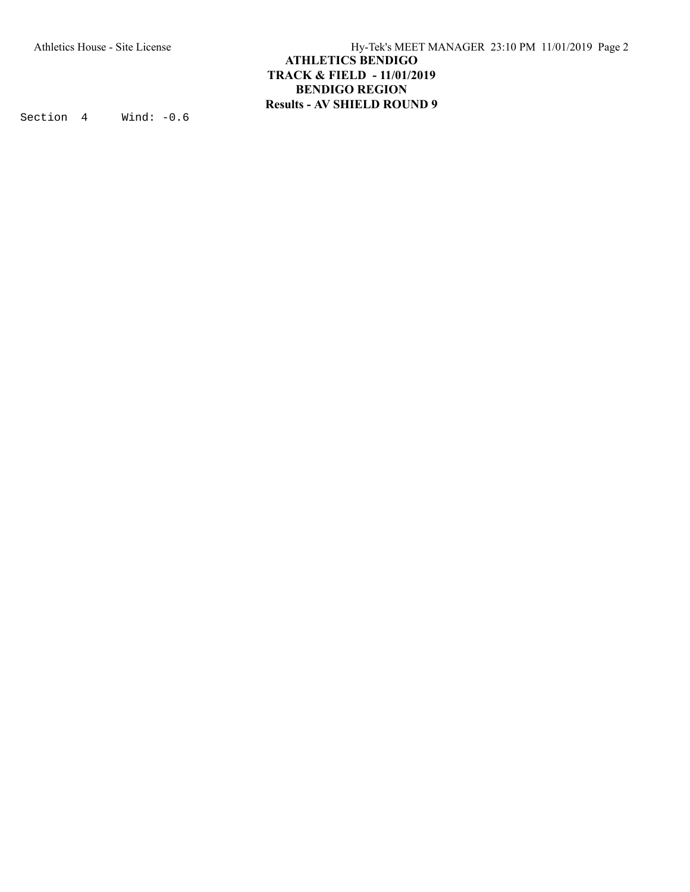# Athletics House - Site License Hy-Tek's MEET MANAGER 23:10 PM 11/01/2019 Page 2 **ATHLETICS BENDIGO TRACK & FIELD - 11/01/2019 BENDIGO REGION Results - AV SHIELD ROUND 9**

Section 4 Wind: -0.6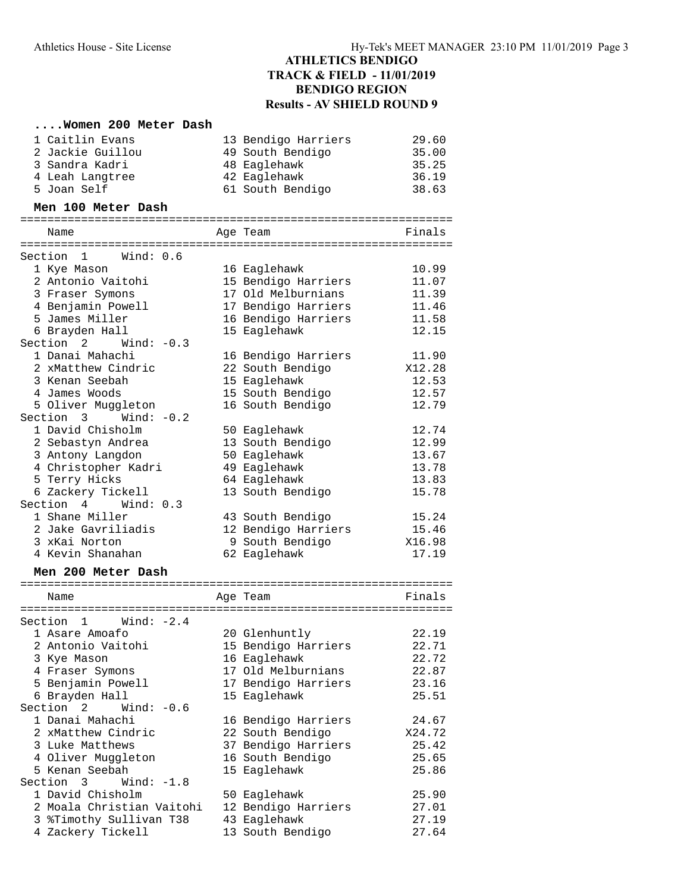#### **....Women 200 Meter Dash**

| 1 Caitlin Evans           | 13 Bendigo Harriers | 29.60  |
|---------------------------|---------------------|--------|
| 2 Jackie Guillou          | 49 South Bendigo    | 35.00  |
| 3 Sandra Kadri            | 48 Eaglehawk        | 35.25  |
| 4 Leah Langtree           | 42 Eaglehawk        | 36.19  |
| 5 Joan Self               | 61 South Bendigo    | 38.63  |
| Men 100 Meter Dash        |                     |        |
| Name                      | Age Team            | Finals |
| Section 1 Wind: 0.6       |                     |        |
| 1 Kye Mason               | 16 Eaglehawk        | 10.99  |
| 2 Antonio Vaitohi         | 15 Bendigo Harriers | 11.07  |
| 3 Fraser Symons           | 17 Old Melburnians  | 11.39  |
| 4 Benjamin Powell         | 17 Bendigo Harriers | 11.46  |
| 5 James Miller            | 16 Bendigo Harriers | 11.58  |
| 6 Brayden Hall            | 15 Eaglehawk        | 12.15  |
| Section $2$ Wind: $-0.3$  |                     |        |
| 1 Danai Mahachi           | 16 Bendigo Harriers | 11.90  |
| 2 xMatthew Cindric        | 22 South Bendigo    | X12.28 |
| 3 Kenan Seebah            | 15 Eaglehawk        | 12.53  |
| 4 James Woods             | 15 South Bendigo    | 12.57  |
| 5 Oliver Muggleton        | 16 South Bendigo    | 12.79  |
| Section $3$ Wind: $-0.2$  |                     |        |
| 1 David Chisholm          | 50 Eaglehawk        | 12.74  |
| 2 Sebastyn Andrea         | 13 South Bendigo    | 12.99  |
| 3 Antony Langdon          | 50 Eaglehawk        | 13.67  |
| 4 Christopher Kadri       | 49 Eaglehawk        | 13.78  |
| 5 Terry Hicks             | 64 Eaglehawk        | 13.83  |
| 6 Zackery Tickell         | 13 South Bendigo    | 15.78  |
| Section 4 Wind: 0.3       |                     |        |
| 1 Shane Miller            | 43 South Bendigo    | 15.24  |
| 2 Jake Gavriliadis        | 12 Bendigo Harriers | 15.46  |
| 3 xKai Norton             | 9 South Bendigo     | X16.98 |
| 4 Kevin Shanahan          | 62 Eaglehawk        | 17.19  |
| Men 200 Meter Dash        |                     |        |
| Name                      | Age Team            | Finals |
|                           |                     |        |
| Section $1$ Wind: $-2.4$  |                     |        |
| 1 Asare Amoafo            | 20 Glenhuntly       | 22.19  |
| 2 Antonio Vaitohi         | 15 Bendigo Harriers | 22.71  |
| 3 Kye Mason               | 16 Eaglehawk        | 22.72  |
| 4 Fraser Symons           | 17 Old Melburnians  | 22.87  |
| 5 Benjamin Powell         | 17 Bendigo Harriers | 23.16  |
| 6 Brayden Hall            | 15 Eaglehawk        | 25.51  |
| Section 2<br>Wind: $-0.6$ |                     |        |
| 1 Danai Mahachi           | 16 Bendigo Harriers | 24.67  |
| 2 xMatthew Cindric        | 22 South Bendigo    | X24.72 |
| 3 Luke Matthews           | 37 Bendigo Harriers | 25.42  |
| 4 Oliver Muggleton        | 16 South Bendigo    | 25.65  |
| 5 Kenan Seebah            | 15 Eaglehawk        | 25.86  |
| Section 3<br>Wind: $-1.8$ |                     |        |
| 1 David Chisholm          | 50 Eaglehawk        | 25.90  |
| 2 Moala Christian Vaitohi | 12 Bendigo Harriers | 27.01  |

 3 %Timothy Sullivan T38 43 Eaglehawk 27.19 4 Zackery Tickell 13 South Bendigo 27.64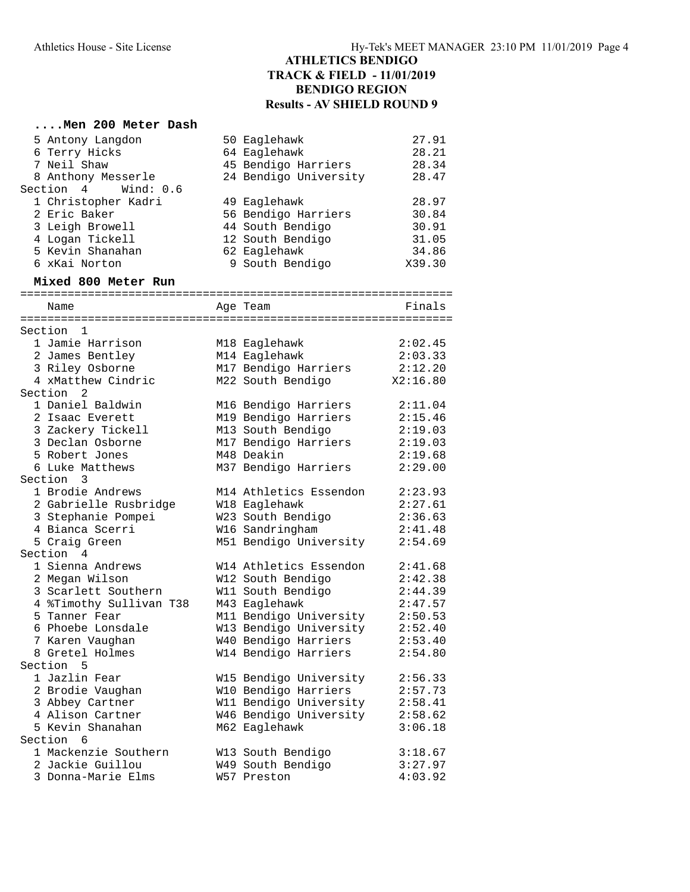#### **....Men 200 Meter Dash**

| 5 Antony Langdon        | 50 Eaglehawk           | 27.91    |
|-------------------------|------------------------|----------|
| 6 Terry Hicks           | 64 Eaglehawk           | 28.21    |
| 7 Neil Shaw             | 45 Bendigo Harriers    | 28.34    |
| 8 Anthony Messerle      | 24 Bendigo University  | 28.47    |
| Section 4<br>Wind: 0.6  |                        |          |
| 1 Christopher Kadri     | 49 Eaglehawk           | 28.97    |
| 2 Eric Baker            | 56 Bendigo Harriers    | 30.84    |
| 3 Leigh Browell         | 44 South Bendigo       | 30.91    |
| 4 Logan Tickell         | 12 South Bendigo       | 31.05    |
| 5 Kevin Shanahan        | 62 Eaglehawk           | 34.86    |
| 6 xKai Norton           | 9 South Bendigo        | X39.30   |
| Mixed 800 Meter Run     |                        |          |
| Name                    | Age Team               | Finals   |
|                         |                        |          |
| Section 1               |                        |          |
| 1 Jamie Harrison        | M18 Eaglehawk          | 2:02.45  |
| 2 James Bentley         | M14 Eaglehawk          | 2:03.33  |
| 3 Riley Osborne         | M17 Bendigo Harriers   | 2:12.20  |
| 4 xMatthew Cindric      | M22 South Bendigo      | X2:16.80 |
| Section 2               |                        |          |
| 1 Daniel Baldwin        | M16 Bendigo Harriers   | 2:11.04  |
| 2 Isaac Everett         | M19 Bendigo Harriers   | 2:15.46  |
| 3 Zackery Tickell       | M13 South Bendigo      | 2:19.03  |
| 3 Declan Osborne        | M17 Bendigo Harriers   | 2:19.03  |
| 5 Robert Jones          | M48 Deakin             | 2:19.68  |
| 6 Luke Matthews         | M37 Bendigo Harriers   | 2:29.00  |
| Section 3               |                        |          |
| 1 Brodie Andrews        | M14 Athletics Essendon | 2:23.93  |
| 2 Gabrielle Rusbridge   | W18 Eaglehawk          | 2:27.61  |
| 3 Stephanie Pompei      | W23 South Bendigo      | 2:36.63  |
| 4 Bianca Scerri         | W16 Sandringham        | 2:41.48  |
| 5 Craig Green           | M51 Bendigo University | 2:54.69  |
| Section 4               |                        |          |
| 1 Sienna Andrews        | W14 Athletics Essendon | 2:41.68  |
| 2 Megan Wilson          | W12 South Bendigo      | 2:42.38  |
| 3 Scarlett Southern     | W11 South Bendigo      | 2:44.39  |
| 4 %Timothy Sullivan T38 | M43 Eaglehawk          | 2:47.57  |
| 5 Tanner Fear           | M11 Bendigo University | 2:50.53  |
| 6 Phoebe Lonsdale       | W13 Bendigo University | 2:52.40  |
| 7 Karen Vaughan         | W40 Bendigo Harriers   | 2:53.40  |
| 8 Gretel Holmes         | W14 Bendigo Harriers   | 2:54.80  |
| Section 5               |                        |          |
| 1 Jazlin Fear           | W15 Bendigo University | 2:56.33  |
| 2 Brodie Vaughan        | W10 Bendigo Harriers   | 2:57.73  |
| 3 Abbey Cartner         | W11 Bendigo University | 2:58.41  |
| 4 Alison Cartner        | W46 Bendigo University | 2:58.62  |
| 5 Kevin Shanahan        |                        |          |
| Section<br>6            | M62 Eaglehawk          | 3:06.18  |
| 1 Mackenzie Southern    |                        |          |
|                         | W13 South Bendigo      | 3:18.67  |
| 2 Jackie Guillou        | W49 South Bendigo      | 3:27.97  |
| 3 Donna-Marie Elms      | W57 Preston            | 4:03.92  |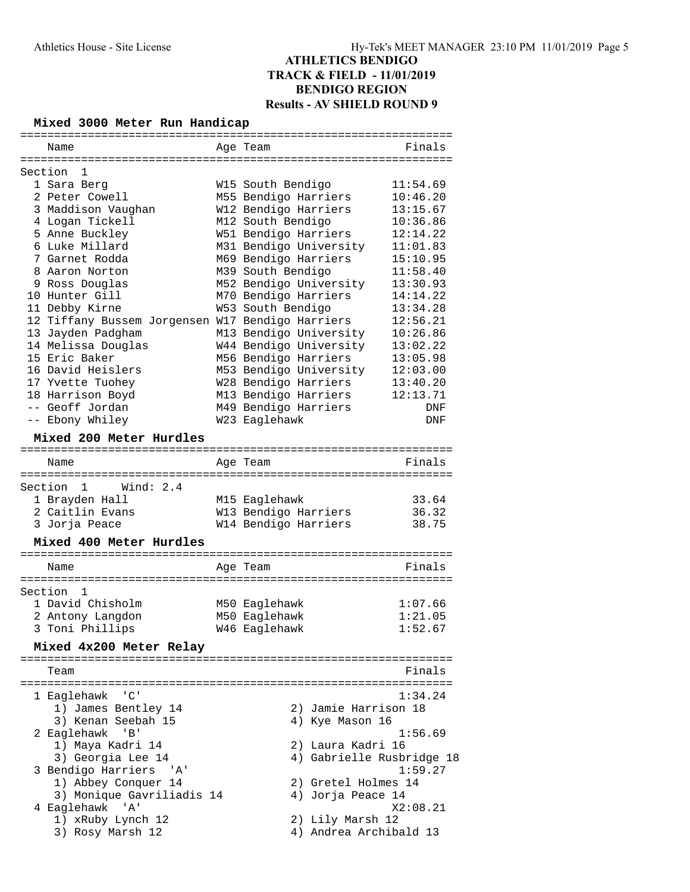#### **Mixed 3000 Meter Run Handicap**

| ===========                                      |                                              |          |
|--------------------------------------------------|----------------------------------------------|----------|
| Name                                             | Age Team                                     | Finals   |
|                                                  |                                              |          |
| Section<br>1                                     |                                              | 11:54.69 |
| 1 Sara Berg<br>2 Peter Cowell                    | W15 South Bendigo                            | 10:46.20 |
| 3 Maddison Vaughan                               | M55 Bendigo Harriers<br>W12 Bendigo Harriers | 13:15.67 |
| 4 Logan Tickell                                  | M12 South Bendigo                            | 10:36.86 |
| 5 Anne Buckley                                   | W51 Bendigo Harriers                         | 12:14.22 |
| 6 Luke Millard                                   | M31 Bendigo University                       | 11:01.83 |
| 7 Garnet Rodda                                   | M69 Bendigo Harriers                         | 15:10.95 |
| 8 Aaron Norton                                   | M39 South Bendigo                            | 11:58.40 |
| 9 Ross Douglas                                   | M52 Bendigo University                       | 13:30.93 |
| 10 Hunter Gill                                   | M70 Bendigo Harriers                         | 14:14.22 |
| 11 Debby Kirne                                   | W53 South Bendigo                            | 13:34.28 |
| 12 Tiffany Bussem Jorgensen W17 Bendigo Harriers |                                              | 12:56.21 |
| 13 Jayden Padgham                                | M13 Bendigo University                       | 10:26.86 |
| 14 Melissa Douglas                               | W44 Bendigo University                       | 13:02.22 |
| 15 Eric Baker                                    | M56 Bendigo Harriers                         | 13:05.98 |
| 16 David Heislers                                | M53 Bendigo University                       | 12:03.00 |
| 17 Yvette Tuohey                                 | W28 Bendigo Harriers                         | 13:40.20 |
| 18 Harrison Boyd                                 | M13 Bendigo Harriers                         | 12:13.71 |
| -- Geoff Jordan                                  | M49 Bendigo Harriers                         | DNF      |
| -- Ebony Whiley                                  | W23 Eaglehawk                                | DNF      |
|                                                  |                                              |          |
| Mixed 200 Meter Hurdles                          |                                              |          |
| Name                                             | Age Team                                     | Finals   |
|                                                  |                                              |          |
| Wind: 2.4<br>Section 1                           |                                              |          |
| 1 Brayden Hall                                   | M15 Eaglehawk                                | 33.64    |
| 2 Caitlin Evans                                  | W13 Bendigo Harriers                         | 36.32    |
| 3 Jorja Peace                                    | W14 Bendigo Harriers                         | 38.75    |
|                                                  |                                              |          |
| Mixed 400 Meter Hurdles                          |                                              |          |
| Name                                             | Age Team                                     | Finals   |
|                                                  |                                              |          |
| Section<br>1                                     |                                              |          |
| 1 David Chisholm                                 | M50 Eaglehawk                                | 1:07.66  |
| 2 Antony Langdon                                 | M50 Eaglehawk                                | 1:21.05  |
| 3 Toni Phillips                                  | W46 Eaglehawk                                | 1:52.67  |
| Mixed 4x200 Meter Relay                          |                                              |          |
|                                                  |                                              |          |
| Team                                             |                                              | Finals   |
| $^{\prime}$ C $^{\prime}$<br>1 Eaglehawk         |                                              | 1:34.24  |
| 1) James Bentley 14                              | 2) Jamie Harrison 18                         |          |
| 3) Kenan Seebah 15                               | 4) Kye Mason 16                              |          |
| 2 Eaglehawk<br>B'                                |                                              | 1:56.69  |
| 1) Maya Kadri 14                                 | 2) Laura Kadri 16                            |          |
| 3) Georgia Lee 14                                | 4) Gabrielle Rusbridge 18                    |          |
| 3 Bendigo Harriers<br>' A '                      |                                              | 1:59.27  |
| 1) Abbey Conquer 14                              | 2) Gretel Holmes 14                          |          |
| 3) Monique Gavriliadis 14                        | 4) Jorja Peace 14                            |          |
| 4 Eaglehawk<br>$^{\prime}$ A $^{\prime}$         |                                              | X2:08.21 |
| 1) xRuby Lynch 12                                | 2) Lily Marsh 12                             |          |
| 3) Rosy Marsh 12                                 | 4) Andrea Archibald 13                       |          |
|                                                  |                                              |          |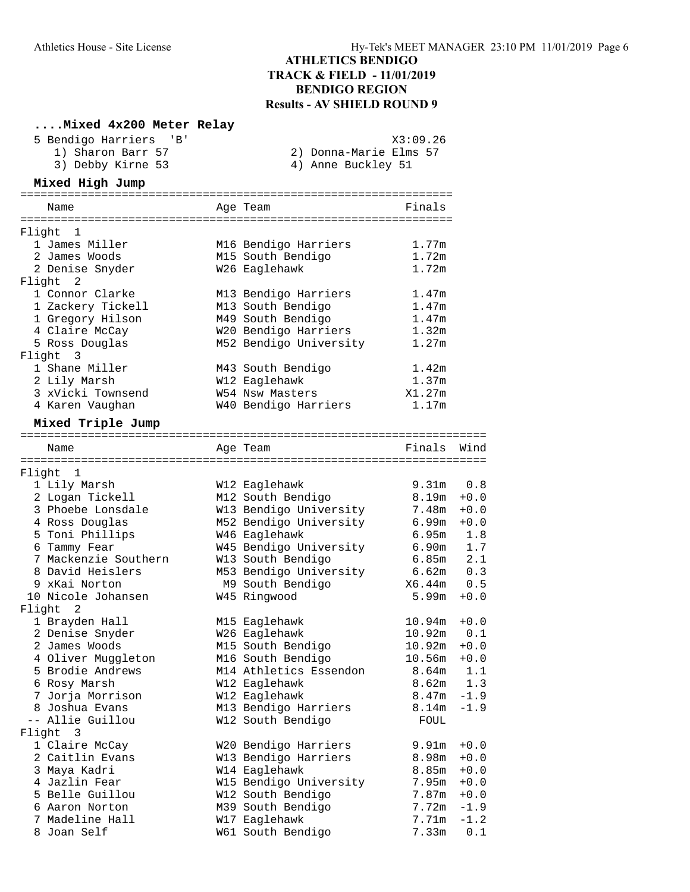| Mixed 4x200 Meter Relay              |                                             |                 |              |
|--------------------------------------|---------------------------------------------|-----------------|--------------|
| 5 Bendigo Harriers 'B'               |                                             | X3:09.26        |              |
| 1) Sharon Barr 57                    | 2) Donna-Marie Elms 57                      |                 |              |
| 3) Debby Kirne 53                    | 4) Anne Buckley 51                          |                 |              |
| Mixed High Jump                      |                                             |                 |              |
|                                      |                                             |                 |              |
| Name                                 | Age Team                                    | Finals          |              |
|                                      |                                             |                 |              |
| Flight 1                             |                                             |                 |              |
| 1 James Miller                       | M16 Bendigo Harriers                        | 1.77m           |              |
| 2 James Woods                        | M15 South Bendigo                           | 1.72m           |              |
| 2 Denise Snyder                      | W26 Eaglehawk                               | 1.72m           |              |
| Flight<br>2                          |                                             |                 |              |
| 1 Connor Clarke                      | M13 Bendigo Harriers                        | 1.47m           |              |
| 1 Zackery Tickell                    | M13 South Bendigo                           | 1.47m           |              |
| 1 Gregory Hilson                     | M49 South Bendigo                           | 1.47m           |              |
| 4 Claire McCay                       | W20 Bendigo Harriers                        | 1.32m           |              |
| 5 Ross Douglas                       | M52 Bendigo University                      | 1.27m           |              |
| Flight<br>- 3                        |                                             |                 |              |
| 1 Shane Miller                       | M43 South Bendigo                           | 1.42m           |              |
| 2 Lily Marsh                         | W12 Eaglehawk                               | 1.37m<br>X1.27m |              |
| 3 xVicki Townsend                    | W54 Nsw Masters                             |                 |              |
| 4 Karen Vaughan                      | W40 Bendigo Harriers                        | 1.17m           |              |
| Mixed Triple Jump                    |                                             |                 |              |
|                                      |                                             |                 |              |
| Name                                 | Age Team                                    | Finals          | Wind         |
|                                      |                                             |                 |              |
| Flight 1                             |                                             |                 |              |
| 1 Lily Marsh                         | W12 Eaglehawk                               | 9.31m           | 0.8          |
| 2 Logan Tickell                      | M12 South Bendigo                           | 8.19m           | $+0.0$       |
| 3 Phoebe Lonsdale                    | W13 Bendigo University                      | 7.48m<br>6.99m  | $+0.0$       |
| 4 Ross Douglas                       | M52 Bendigo University<br>W46 Eaglehawk     | $6.95m$ 1.8     | $+0.0$       |
| 5 Toni Phillips                      |                                             | $6.90m$ 1.7     |              |
| 6 Tammy Fear<br>7 Mackenzie Southern | W45 Bendigo University<br>W13 South Bendigo | 6.85m           | 2.1          |
| 8 David Heislers                     | M53 Bendigo University                      | 6.62m           |              |
| 9 xKai Norton                        | M9 South Bendigo                            | X6.44m          | 0.3<br>0.5   |
| 10 Nicole Johansen                   | W45 Ringwood                                | 5.99m           | $+0.0$       |
| Flight 2                             |                                             |                 |              |
| 1 Brayden Hall                       | M15 Eaglehawk                               | $10.94m + 0.0$  |              |
| 2 Denise Snyder                      | W26 Eaglehawk                               | 10.92m          | 0.1          |
| 2 James Woods                        | M15 South Bendigo                           | 10.92m          | $+0.0$       |
| 4 Oliver Muggleton                   | M16 South Bendigo                           | 10.56m          | $+0.0$       |
| 5 Brodie Andrews                     | M14 Athletics Essendon                      | 8.64m           | $1\,.1$      |
| 6 Rosy Marsh                         | W12 Eaglehawk                               | 8.62m           | 1.3          |
| 7 Jorja Morrison                     | W12 Eaglehawk                               | 8.47m           | $-1.9$       |
| 8 Joshua Evans                       | M13 Bendigo Harriers                        | 8.14m           | $-1.9$       |
| -- Allie Guillou                     | W12 South Bendigo                           | FOUL            |              |
| Flight 3                             |                                             |                 |              |
| 1 Claire McCay                       | W20 Bendigo Harriers                        | 9.91m           | $+0.0$       |
| 2 Caitlin Evans                      | W13 Bendigo Harriers                        | 8.98m           | $\bf{+0.0}$  |
| 3 Maya Kadri                         | W14 Eaglehawk                               | 8.85m           | $\bf{+0.0}$  |
| 4 Jazlin Fear                        | W15 Bendigo University                      | 7.95m           | $+0.0$       |
| 5 Belle Guillou                      | W12 South Bendigo                           | 7.87m           | $+\,0$ . $0$ |
| 6 Aaron Norton                       | M39 South Bendigo                           | 7.72m           | $-1.9$       |
| 7 Madeline Hall                      | W17 Eaglehawk                               | 7.71m           | $-1.2$       |
| 8 Joan Self                          | W61 South Bendigo                           | 7.33m           | 0.1          |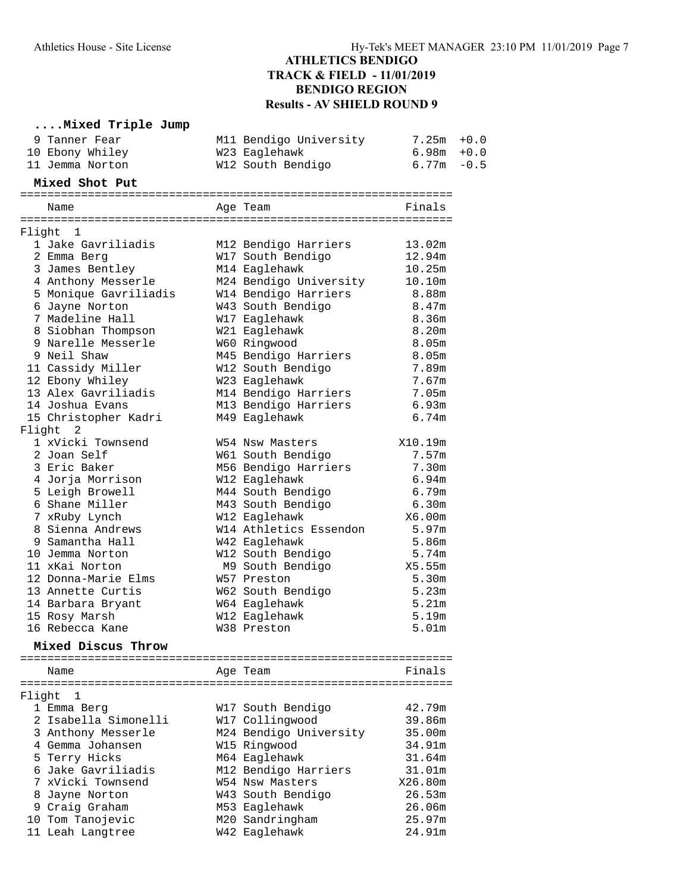# **....Mixed Triple Jump**

|                | 9 Tanner Fear         |  | M11 Bendigo University | 7.25m             | $+0.0$ |  |  |  |  |
|----------------|-----------------------|--|------------------------|-------------------|--------|--|--|--|--|
|                | 10 Ebony Whiley       |  | W23 Eaglehawk          | 6.98m             | $+0.0$ |  |  |  |  |
|                | 11 Jemma Norton       |  | W12 South Bendigo      | $6.77m - 0.5$     |        |  |  |  |  |
| Mixed Shot Put |                       |  |                        |                   |        |  |  |  |  |
|                | Name                  |  | Age Team               | Finals            |        |  |  |  |  |
|                |                       |  |                        |                   |        |  |  |  |  |
|                | Flight 1              |  |                        |                   |        |  |  |  |  |
|                | 1 Jake Gavriliadis    |  | M12 Bendigo Harriers   | 13.02m            |        |  |  |  |  |
|                | 2 Emma Berg           |  | W17 South Bendigo      | 12.94m            |        |  |  |  |  |
|                | 3 James Bentley       |  | M14 Eaglehawk          | 10.25m            |        |  |  |  |  |
|                | 4 Anthony Messerle    |  | M24 Bendigo University | 10.10m            |        |  |  |  |  |
|                | 5 Monique Gavriliadis |  | W14 Bendigo Harriers   | 8.88m             |        |  |  |  |  |
|                | 6 Jayne Norton        |  | W43 South Bendigo      | 8.47m             |        |  |  |  |  |
|                | 7 Madeline Hall       |  | W17 Eaglehawk          | 8.36m             |        |  |  |  |  |
|                | 8 Siobhan Thompson    |  | W21 Eaglehawk          | 8.20m             |        |  |  |  |  |
|                | 9 Narelle Messerle    |  | W60 Ringwood           | 8.05m             |        |  |  |  |  |
|                | 9 Neil Shaw           |  | M45 Bendigo Harriers   | 8.05m             |        |  |  |  |  |
|                | 11 Cassidy Miller     |  | W12 South Bendigo      | 7.89m             |        |  |  |  |  |
|                | 12 Ebony Whiley       |  | W23 Eaglehawk          | 7.67m             |        |  |  |  |  |
|                | 13 Alex Gavriliadis   |  | M14 Bendigo Harriers   | 7.05m             |        |  |  |  |  |
|                | 14 Joshua Evans       |  | M13 Bendigo Harriers   | 6.93m             |        |  |  |  |  |
|                | 15 Christopher Kadri  |  | M49 Eaglehawk          | 6.74m             |        |  |  |  |  |
|                | Flight 2              |  |                        |                   |        |  |  |  |  |
|                | 1 xVicki Townsend     |  | W54 Nsw Masters        | X10.19m           |        |  |  |  |  |
|                | 2 Joan Self           |  | W61 South Bendigo      | 7.57m             |        |  |  |  |  |
|                | 3 Eric Baker          |  | M56 Bendigo Harriers   | 7.30m             |        |  |  |  |  |
|                | 4 Jorja Morrison      |  | W12 Eaglehawk          | 6.94m             |        |  |  |  |  |
|                | 5 Leigh Browell       |  | M44 South Bendigo      | 6.79m             |        |  |  |  |  |
|                | 6 Shane Miller        |  | M43 South Bendigo      | 6.30m             |        |  |  |  |  |
|                | 7 xRuby Lynch         |  | W12 Eaglehawk          | X6.00m            |        |  |  |  |  |
|                | 8 Sienna Andrews      |  | W14 Athletics Essendon | 5.97m             |        |  |  |  |  |
|                | 9 Samantha Hall       |  | W42 Eaglehawk          | 5.86m             |        |  |  |  |  |
|                | 10 Jemma Norton       |  | W12 South Bendigo      | 5.74m             |        |  |  |  |  |
|                | 11 xKai Norton        |  | M9 South Bendigo       | X5.55m            |        |  |  |  |  |
|                | 12 Donna-Marie Elms   |  | W57 Preston            | 5.30 <sub>m</sub> |        |  |  |  |  |
|                | 13 Annette Curtis     |  | W62 South Bendigo      | 5.23m             |        |  |  |  |  |
|                | 14 Barbara Bryant     |  | W64 Eaglehawk          | 5.21m             |        |  |  |  |  |
|                | 15 Rosy Marsh         |  | W12 Eaglehawk          | 5.19m             |        |  |  |  |  |
|                | 16 Rebecca Kane       |  | W38 Preston            | 5.01m             |        |  |  |  |  |
|                | Mixed Discus Throw    |  |                        |                   |        |  |  |  |  |
|                | =================     |  | ---------              |                   |        |  |  |  |  |
|                | Name                  |  | Age Team               | Finals            |        |  |  |  |  |
|                |                       |  |                        |                   |        |  |  |  |  |
| Flight         | 1                     |  |                        |                   |        |  |  |  |  |
|                | 1 Emma Berg           |  | W17 South Bendigo      | 42.79m            |        |  |  |  |  |
|                | 2 Isabella Simonelli  |  | W17 Collingwood        | 39.86m            |        |  |  |  |  |
|                | 3 Anthony Messerle    |  | M24 Bendigo University | 35.00m            |        |  |  |  |  |
|                | 4 Gemma Johansen      |  | W15 Ringwood           | 34.91m            |        |  |  |  |  |
|                | 5 Terry Hicks         |  | M64 Eaglehawk          | 31.64m            |        |  |  |  |  |
|                | 6 Jake Gavriliadis    |  | M12 Bendigo Harriers   | 31.01m            |        |  |  |  |  |
|                | 7 xVicki Townsend     |  | W54 Nsw Masters        | X26.80m           |        |  |  |  |  |
|                | 8 Jayne Norton        |  | W43 South Bendigo      | 26.53m            |        |  |  |  |  |
|                | 9 Craig Graham        |  | M53 Eaglehawk          | 26.06m            |        |  |  |  |  |
|                | 10 Tom Tanojevic      |  | M20 Sandringham        | 25.97m            |        |  |  |  |  |
|                | 11 Leah Langtree      |  | W42 Eaglehawk          | 24.91m            |        |  |  |  |  |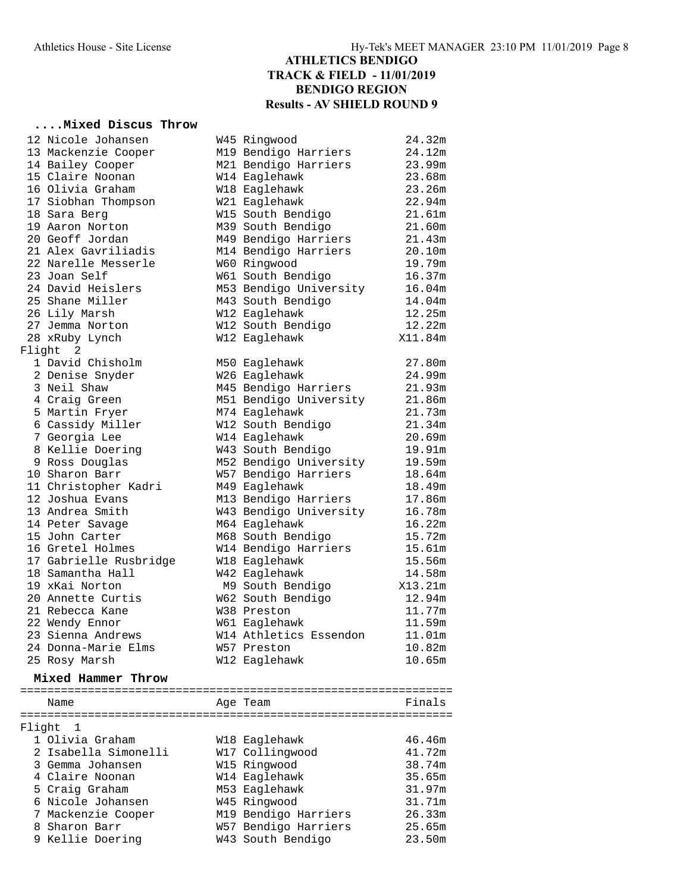#### **....Mixed Discus Throw**

|        | 12 Nicole Johansen     | W45 Ringwood           | 24.32m  |
|--------|------------------------|------------------------|---------|
|        | 13 Mackenzie Cooper    | M19 Bendigo Harriers   | 24.12m  |
|        | 14 Bailey Cooper       | M21 Bendigo Harriers   | 23.99m  |
|        | 15 Claire Noonan       | W14 Eaglehawk          | 23.68m  |
|        | 16 Olivia Graham       | W18 Eaglehawk          | 23.26m  |
|        | 17 Siobhan Thompson    | W21 Eaglehawk          | 22.94m  |
|        | 18 Sara Berg           | W15 South Bendigo      | 21.61m  |
|        | 19 Aaron Norton        | M39 South Bendigo      | 21.60m  |
|        | 20 Geoff Jordan        | M49 Bendigo Harriers   | 21.43m  |
|        | 21 Alex Gavriliadis    | M14 Bendigo Harriers   | 20.10m  |
|        | 22 Narelle Messerle    | W60 Ringwood           | 19.79m  |
|        | 23 Joan Self           | W61 South Bendigo      | 16.37m  |
|        | 24 David Heislers      | M53 Bendigo University | 16.04m  |
|        | 25 Shane Miller        | M43 South Bendigo      | 14.04m  |
|        | 26 Lily Marsh          | W12 Eaglehawk          | 12.25m  |
|        | 27 Jemma Norton        | W12 South Bendigo      | 12.22m  |
|        | 28 xRuby Lynch         | W12 Eaglehawk          | X11.84m |
|        | Flight<br>2            |                        |         |
|        | 1 David Chisholm       | M50 Eaglehawk          | 27.80m  |
|        | 2 Denise Snyder        | W26 Eaglehawk          | 24.99m  |
|        | 3 Neil Shaw            | M45 Bendigo Harriers   | 21.93m  |
|        | 4 Craig Green          | M51 Bendigo University | 21.86m  |
|        | 5 Martin Fryer         | M74 Eaglehawk          | 21.73m  |
|        | 6 Cassidy Miller       | W12 South Bendigo      | 21.34m  |
|        | 7 Georgia Lee          | W14 Eaglehawk          |         |
|        |                        |                        | 20.69m  |
|        | 8 Kellie Doering       | W43 South Bendigo      | 19.91m  |
|        | 9 Ross Douglas         | M52 Bendigo University | 19.59m  |
|        | 10 Sharon Barr         | W57 Bendigo Harriers   | 18.64m  |
|        | 11 Christopher Kadri   | M49 Eaglehawk          | 18.49m  |
|        | 12 Joshua Evans        | M13 Bendigo Harriers   | 17.86m  |
|        | 13 Andrea Smith        | W43 Bendigo University | 16.78m  |
|        | 14 Peter Savage        | M64 Eaglehawk          | 16.22m  |
|        | 15 John Carter         | M68 South Bendigo      | 15.72m  |
|        | 16 Gretel Holmes       | W14 Bendigo Harriers   | 15.61m  |
|        | 17 Gabrielle Rusbridge | W18 Eaglehawk          | 15.56m  |
|        | 18 Samantha Hall       | W42 Eaglehawk          | 14.58m  |
|        | 19 xKai Norton         | M9 South Bendigo       | X13.21m |
|        | 20 Annette Curtis      | W62 South Bendigo      | 12.94m  |
|        | 21 Rebecca Kane        | W38 Preston            | 11.77m  |
|        | 22 Wendy Ennor         | W61 Eaglehawk          | 11.59m  |
|        | 23 Sienna Andrews      | W14 Athletics Essendon | 11.01m  |
|        | 24 Donna-Marie Elms    | W57 Preston            | 10.82m  |
|        | 25 Rosy Marsh          | W12 Eaglehawk          | 10.65m  |
|        | Mixed Hammer Throw     |                        |         |
|        |                        |                        |         |
|        | Name                   | Age Team               | Finals  |
|        |                        |                        |         |
| Flight | 1                      |                        |         |
|        | 1 Olivia Graham        | W18 Eaglehawk          | 46.46m  |
|        | 2 Isabella Simonelli   | W17 Collingwood        | 41.72m  |
|        | 3 Gemma Johansen       | W15 Ringwood           | 38.74m  |
|        | 4 Claire Noonan        | W14 Eaglehawk          | 35.65m  |
|        | 5 Craig Graham         | M53 Eaglehawk          | 31.97m  |
|        | 6 Nicole Johansen      | W45 Ringwood           | 31.71m  |
|        | 7 Mackenzie Cooper     | M19 Bendigo Harriers   | 26.33m  |
|        | 8 Sharon Barr          | W57 Bendigo Harriers   | 25.65m  |
|        | 9 Kellie Doering       | W43 South Bendigo      | 23.50m  |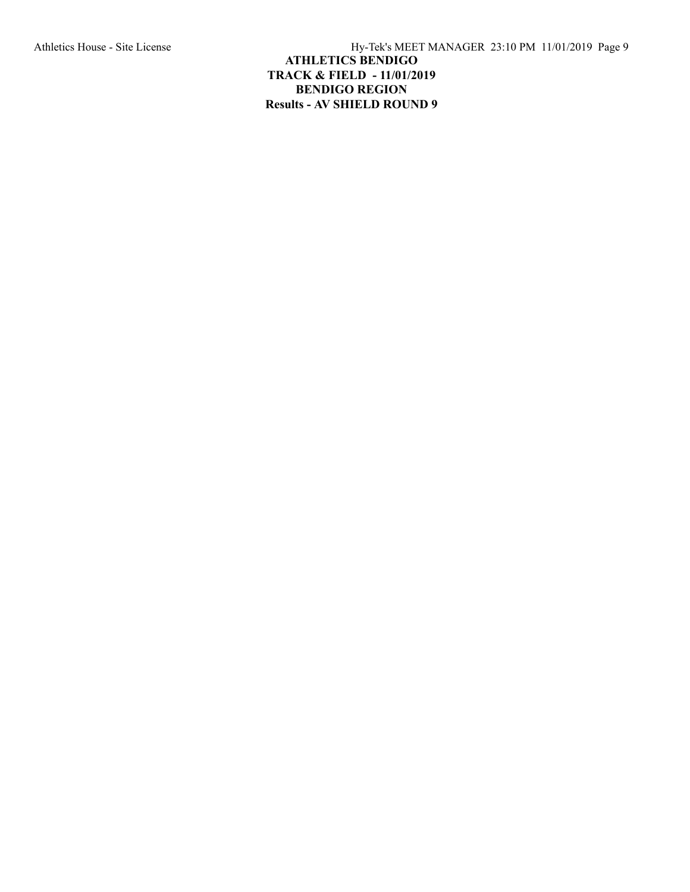Athletics House - Site License Hy-Tek's MEET MANAGER 23:10 PM 11/01/2019 Page 9

# **ATHLETICS BENDIGO TRACK & FIELD - 11/01/2019 BENDIGO REGION Results - AV SHIELD ROUND 9**